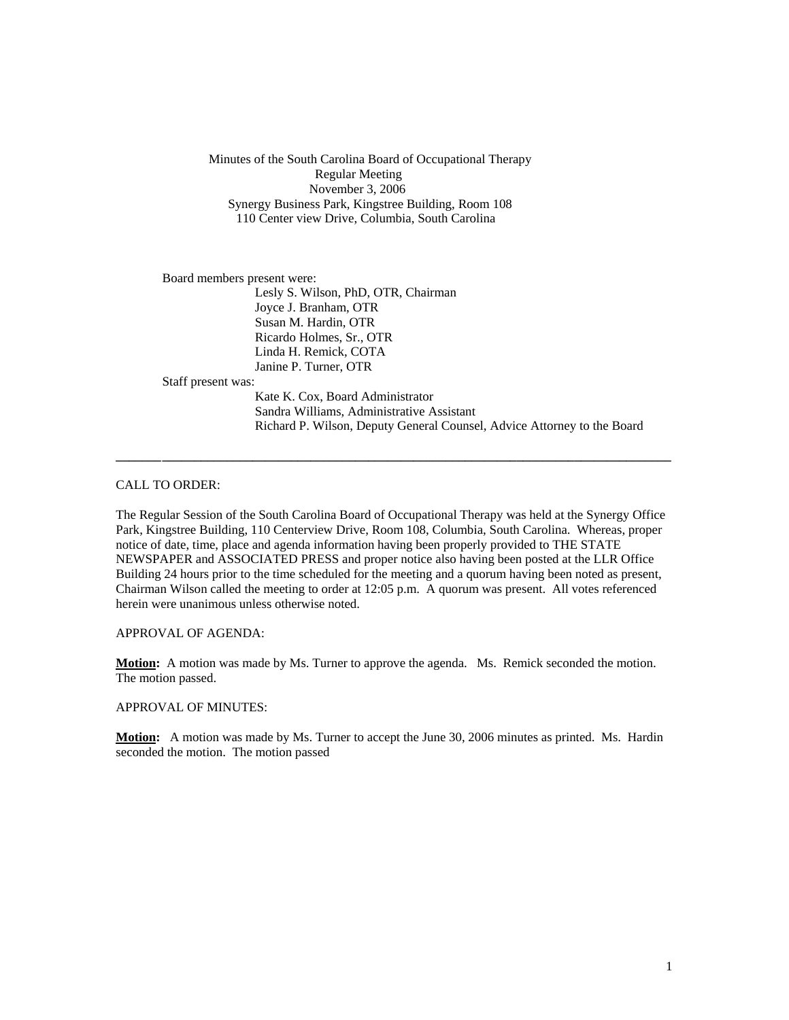Minutes of the South Carolina Board of Occupational Therapy Regular Meeting November 3, 2006 Synergy Business Park, Kingstree Building, Room 108 110 Center view Drive, Columbia, South Carolina

Board members present were:

 Lesly S. Wilson, PhD, OTR, Chairman Joyce J. Branham, OTR Susan M. Hardin, OTR Ricardo Holmes, Sr., OTR Linda H. Remick, COTA Janine P. Turner, OTR

Staff present was:

Kate K. Cox, Board Administrator Sandra Williams, Administrative Assistant Richard P. Wilson, Deputy General Counsel, Advice Attorney to the Board

CALL TO ORDER:

The Regular Session of the South Carolina Board of Occupational Therapy was held at the Synergy Office Park, Kingstree Building, 110 Centerview Drive, Room 108, Columbia, South Carolina. Whereas, proper notice of date, time, place and agenda information having been properly provided to THE STATE NEWSPAPER and ASSOCIATED PRESS and proper notice also having been posted at the LLR Office Building 24 hours prior to the time scheduled for the meeting and a quorum having been noted as present, Chairman Wilson called the meeting to order at 12:05 p.m. A quorum was present. All votes referenced herein were unanimous unless otherwise noted.

**\_\_\_\_\_\_\_ \_\_\_\_\_\_\_\_\_\_\_\_\_\_\_\_\_\_\_\_\_\_\_\_\_\_\_\_\_\_\_\_\_\_\_\_\_\_\_\_\_\_\_\_\_\_\_\_\_\_\_\_\_\_\_\_\_\_\_\_\_\_\_\_\_\_\_\_\_\_\_\_\_\_\_\_\_\_\_** 

APPROVAL OF AGENDA:

**Motion:** A motion was made by Ms. Turner to approve the agenda. Ms. Remick seconded the motion. The motion passed.

APPROVAL OF MINUTES:

**Motion:** A motion was made by Ms. Turner to accept the June 30, 2006 minutes as printed. Ms. Hardin seconded the motion. The motion passed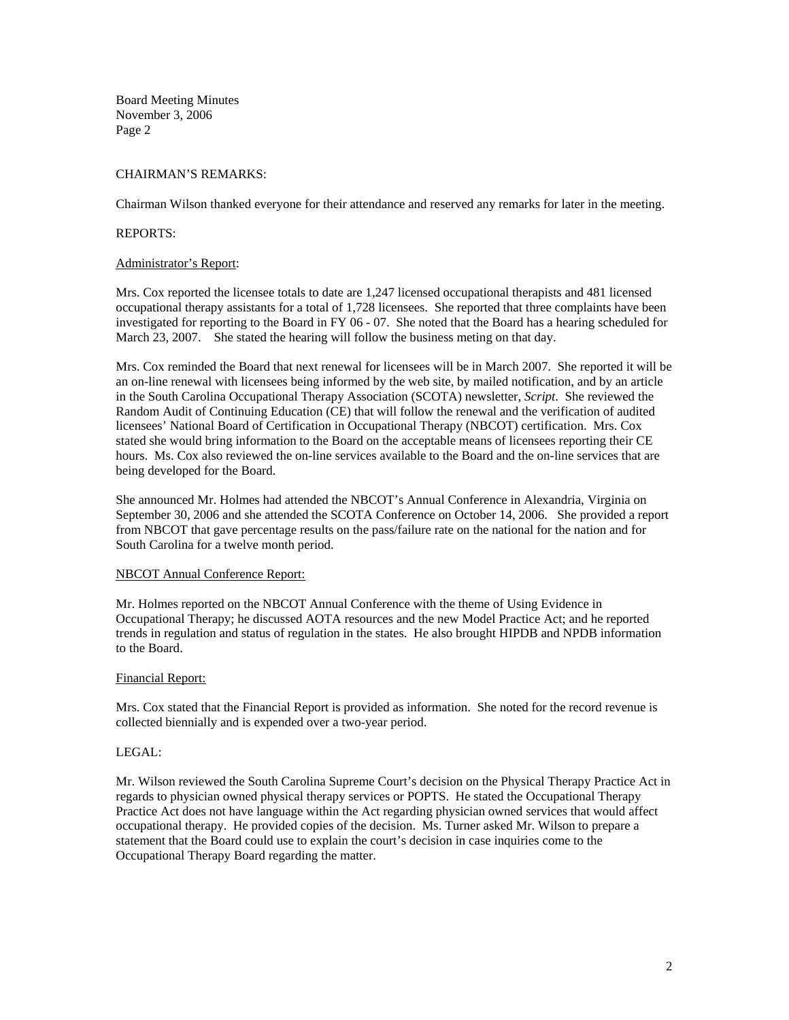Board Meeting Minutes November 3, 2006 Page 2

# CHAIRMAN'S REMARKS:

Chairman Wilson thanked everyone for their attendance and reserved any remarks for later in the meeting.

### REPORTS:

#### Administrator's Report:

Mrs. Cox reported the licensee totals to date are 1,247 licensed occupational therapists and 481 licensed occupational therapy assistants for a total of 1,728 licensees. She reported that three complaints have been investigated for reporting to the Board in FY 06 - 07. She noted that the Board has a hearing scheduled for March 23, 2007. She stated the hearing will follow the business meting on that day.

Mrs. Cox reminded the Board that next renewal for licensees will be in March 2007. She reported it will be an on-line renewal with licensees being informed by the web site, by mailed notification, and by an article in the South Carolina Occupational Therapy Association (SCOTA) newsletter, *Script*. She reviewed the Random Audit of Continuing Education (CE) that will follow the renewal and the verification of audited licensees' National Board of Certification in Occupational Therapy (NBCOT) certification. Mrs. Cox stated she would bring information to the Board on the acceptable means of licensees reporting their CE hours. Ms. Cox also reviewed the on-line services available to the Board and the on-line services that are being developed for the Board.

She announced Mr. Holmes had attended the NBCOT's Annual Conference in Alexandria, Virginia on September 30, 2006 and she attended the SCOTA Conference on October 14, 2006. She provided a report from NBCOT that gave percentage results on the pass/failure rate on the national for the nation and for South Carolina for a twelve month period.

### NBCOT Annual Conference Report:

Mr. Holmes reported on the NBCOT Annual Conference with the theme of Using Evidence in Occupational Therapy; he discussed AOTA resources and the new Model Practice Act; and he reported trends in regulation and status of regulation in the states. He also brought HIPDB and NPDB information to the Board.

### Financial Report:

Mrs. Cox stated that the Financial Report is provided as information. She noted for the record revenue is collected biennially and is expended over a two-year period.

## LEGAL:

Mr. Wilson reviewed the South Carolina Supreme Court's decision on the Physical Therapy Practice Act in regards to physician owned physical therapy services or POPTS. He stated the Occupational Therapy Practice Act does not have language within the Act regarding physician owned services that would affect occupational therapy. He provided copies of the decision. Ms. Turner asked Mr. Wilson to prepare a statement that the Board could use to explain the court's decision in case inquiries come to the Occupational Therapy Board regarding the matter.